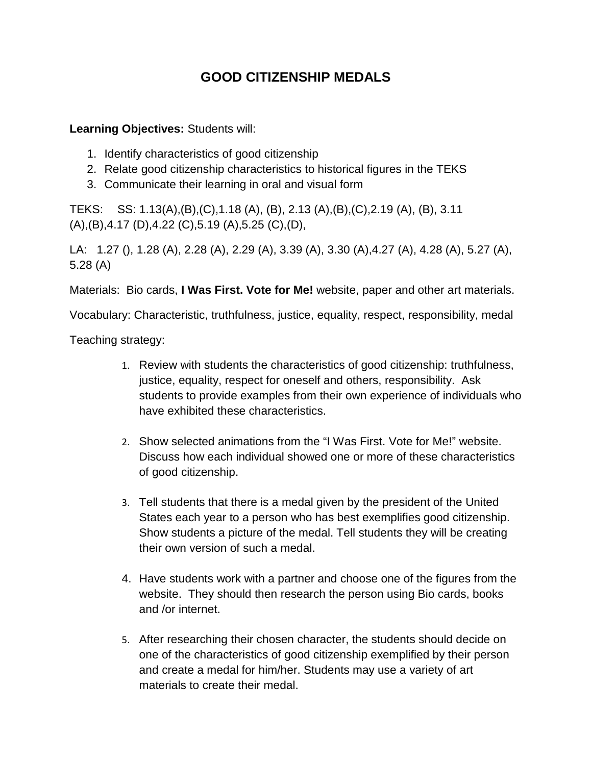## **GOOD CITIZENSHIP MEDALS**

## **Learning Objectives:** Students will:

- 1. Identify characteristics of good citizenship
- 2. Relate good citizenship characteristics to historical figures in the TEKS
- 3. Communicate their learning in oral and visual form

TEKS: SS: 1.13(A),(B),(C),1.18 (A), (B), 2.13 (A),(B),(C),2.19 (A), (B), 3.11 (A),(B),4.17 (D),4.22 (C),5.19 (A),5.25 (C),(D),

LA: 1.27 (), 1.28 (A), 2.28 (A), 2.29 (A), 3.39 (A), 3.30 (A),4.27 (A), 4.28 (A), 5.27 (A), 5.28 (A)

Materials: Bio cards, **I Was First. Vote for Me!** website, paper and other art materials.

Vocabulary: Characteristic, truthfulness, justice, equality, respect, responsibility, medal

Teaching strategy:

- 1. Review with students the characteristics of good citizenship: truthfulness, justice, equality, respect for oneself and others, responsibility. Ask students to provide examples from their own experience of individuals who have exhibited these characteristics.
- 2. Show selected animations from the "I Was First. Vote for Me!" website. Discuss how each individual showed one or more of these characteristics of good citizenship.
- 3. Tell students that there is a medal given by the president of the United States each year to a person who has best exemplifies good citizenship. Show students a picture of the medal. Tell students they will be creating their own version of such a medal.
- 4. Have students work with a partner and choose one of the figures from the website. They should then research the person using Bio cards, books and /or internet.
- 5. After researching their chosen character, the students should decide on one of the characteristics of good citizenship exemplified by their person and create a medal for him/her. Students may use a variety of art materials to create their medal.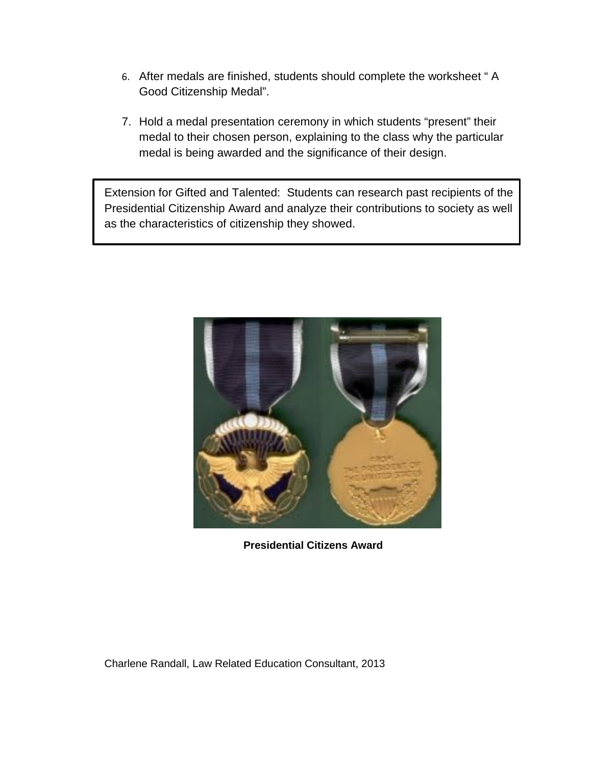- 6. After medals are finished, students should complete the worksheet " A Good Citizenship Medal".
- 7. Hold a medal presentation ceremony in which students "present" their medal to their chosen person, explaining to the class why the particular medal is being awarded and the significance of their design.

Extension for Gifted and Talented: Students can research past recipients of the Presidential Citizenship Award and analyze their contributions to society as well as the characteristics of citizenship they showed.



**Presidential Citizens Award**